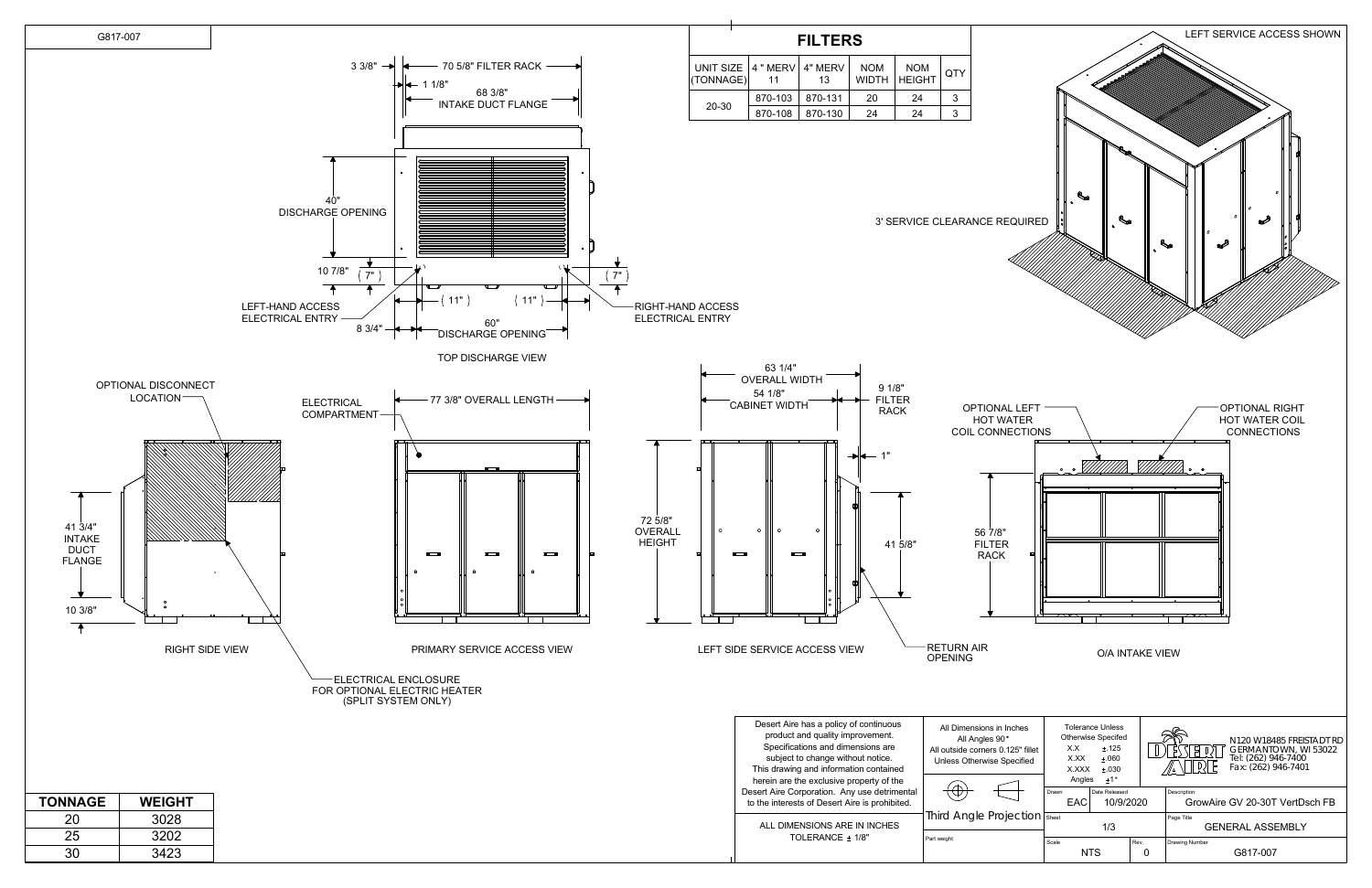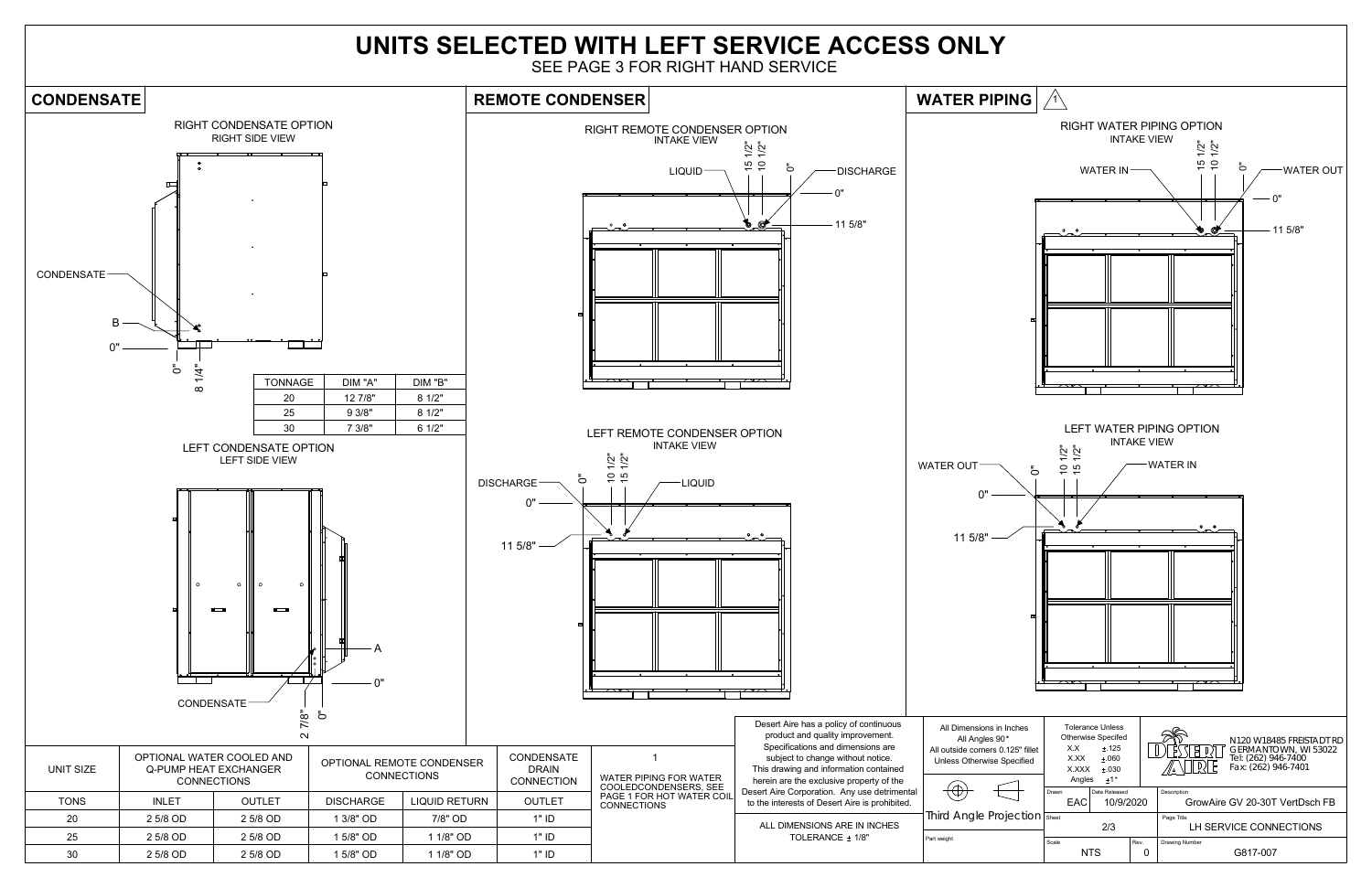